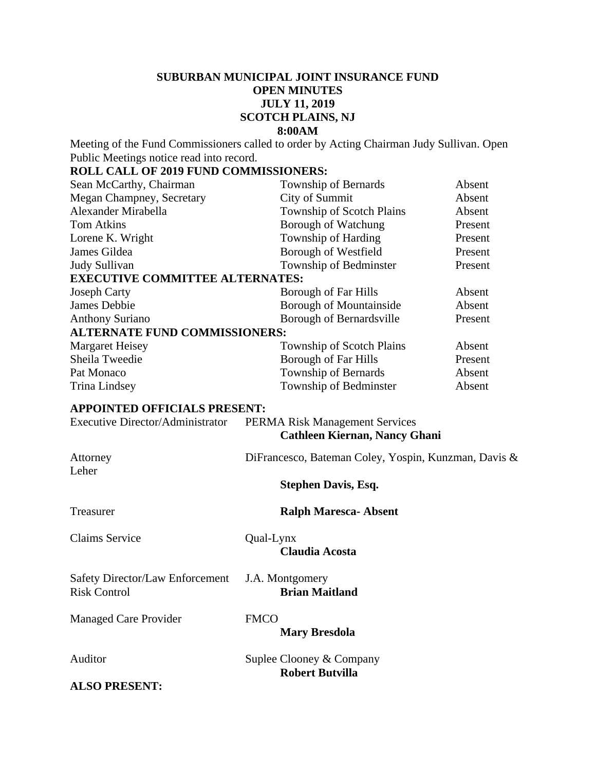# **SUBURBAN MUNICIPAL JOINT INSURANCE FUND OPEN MINUTES JULY 11, 2019 SCOTCH PLAINS, NJ 8:00AM**

Meeting of the Fund Commissioners called to order by Acting Chairman Judy Sullivan. Open Public Meetings notice read into record.

# **ROLL CALL OF 2019 FUND COMMISSIONERS:**

| Sean McCarthy, Chairman                 |             | Township of Bernards                                 | Absent  |
|-----------------------------------------|-------------|------------------------------------------------------|---------|
| Megan Champney, Secretary               |             | City of Summit                                       | Absent  |
| Alexander Mirabella                     |             | Township of Scotch Plains                            | Absent  |
| <b>Tom Atkins</b>                       |             | Borough of Watchung                                  | Present |
| Lorene K. Wright                        |             | Township of Harding                                  | Present |
| James Gildea                            |             | Borough of Westfield                                 | Present |
| Judy Sullivan                           |             | Township of Bedminster                               | Present |
| <b>EXECUTIVE COMMITTEE ALTERNATES:</b>  |             |                                                      |         |
| <b>Joseph Carty</b>                     |             | Borough of Far Hills                                 | Absent  |
| James Debbie                            |             | <b>Borough of Mountainside</b>                       | Absent  |
| <b>Anthony Suriano</b>                  |             | Borough of Bernardsville                             | Present |
| <b>ALTERNATE FUND COMMISSIONERS:</b>    |             |                                                      |         |
| <b>Margaret Heisey</b>                  |             | Township of Scotch Plains                            | Absent  |
| Sheila Tweedie                          |             | <b>Borough of Far Hills</b>                          | Present |
| Pat Monaco                              |             | Township of Bernards                                 | Absent  |
| Trina Lindsey                           |             | Township of Bedminster                               | Absent  |
| <b>APPOINTED OFFICIALS PRESENT:</b>     |             |                                                      |         |
| <b>Executive Director/Administrator</b> |             | <b>PERMA Risk Management Services</b>                |         |
|                                         |             | <b>Cathleen Kiernan, Nancy Ghani</b>                 |         |
|                                         |             |                                                      |         |
| Attorney                                |             | DiFrancesco, Bateman Coley, Yospin, Kunzman, Davis & |         |
| Leher                                   |             |                                                      |         |
|                                         |             | <b>Stephen Davis, Esq.</b>                           |         |
|                                         |             |                                                      |         |
| Treasurer                               |             | <b>Ralph Maresca-Absent</b>                          |         |
|                                         |             |                                                      |         |
| <b>Claims Service</b>                   | Qual-Lynx   |                                                      |         |
|                                         |             | <b>Claudia Acosta</b>                                |         |
|                                         |             |                                                      |         |
| <b>Safety Director/Law Enforcement</b>  |             | J.A. Montgomery                                      |         |
| <b>Risk Control</b>                     |             | <b>Brian Maitland</b>                                |         |
|                                         |             |                                                      |         |
| <b>Managed Care Provider</b>            | <b>FMCO</b> |                                                      |         |
|                                         |             | <b>Mary Bresdola</b>                                 |         |
|                                         |             |                                                      |         |
| Auditor                                 |             | Suplee Clooney & Company                             |         |
|                                         |             | <b>Robert Butvilla</b>                               |         |
| <b>ALSO PRESENT:</b>                    |             |                                                      |         |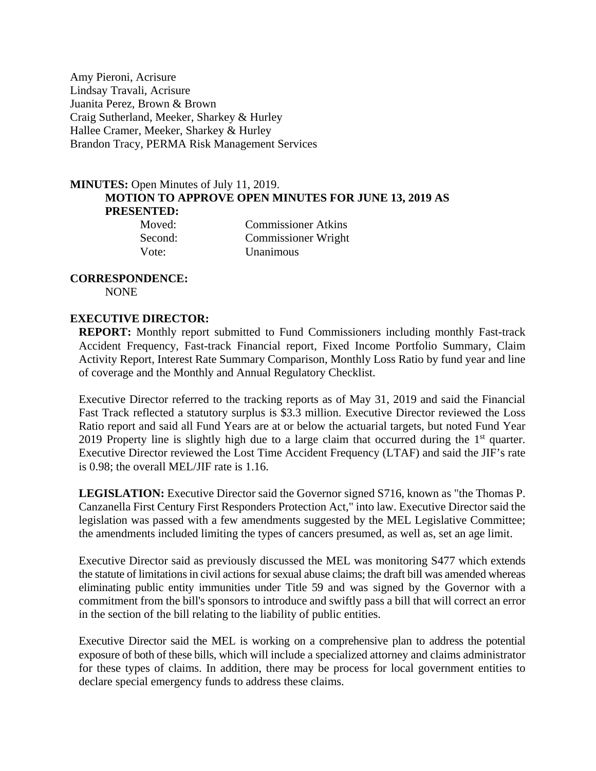Amy Pieroni, Acrisure Lindsay Travali, Acrisure Juanita Perez, Brown & Brown Craig Sutherland, Meeker, Sharkey & Hurley Hallee Cramer, Meeker, Sharkey & Hurley Brandon Tracy, PERMA Risk Management Services

# **MINUTES:** Open Minutes of July 11, 2019. **MOTION TO APPROVE OPEN MINUTES FOR JUNE 13, 2019 AS PRESENTED:**

| Moved:   |  |
|----------|--|
| Second:  |  |
| $V$ ote: |  |

Commissioner Atkins Commissioner Wright Vote: Unanimous

#### **CORRESPONDENCE:**  NONE

# **EXECUTIVE DIRECTOR:**

**REPORT:** Monthly report submitted to Fund Commissioners including monthly Fast-track Accident Frequency, Fast-track Financial report, Fixed Income Portfolio Summary, Claim Activity Report, Interest Rate Summary Comparison, Monthly Loss Ratio by fund year and line of coverage and the Monthly and Annual Regulatory Checklist.

Executive Director referred to the tracking reports as of May 31, 2019 and said the Financial Fast Track reflected a statutory surplus is \$3.3 million. Executive Director reviewed the Loss Ratio report and said all Fund Years are at or below the actuarial targets, but noted Fund Year 2019 Property line is slightly high due to a large claim that occurred during the  $1<sup>st</sup>$  quarter. Executive Director reviewed the Lost Time Accident Frequency (LTAF) and said the JIF's rate is 0.98; the overall MEL/JIF rate is 1.16.

**LEGISLATION:** Executive Director said the Governor signed S716, known as "the Thomas P. Canzanella First Century First Responders Protection Act," into law. Executive Director said the legislation was passed with a few amendments suggested by the MEL Legislative Committee; the amendments included limiting the types of cancers presumed, as well as, set an age limit.

Executive Director said as previously discussed the MEL was monitoring S477 which extends the statute of limitations in civil actions for sexual abuse claims; the draft bill was amended whereas eliminating public entity immunities under Title 59 and was signed by the Governor with a commitment from the bill's sponsors to introduce and swiftly pass a bill that will correct an error in the section of the bill relating to the liability of public entities.

Executive Director said the MEL is working on a comprehensive plan to address the potential exposure of both of these bills, which will include a specialized attorney and claims administrator for these types of claims. In addition, there may be process for local government entities to declare special emergency funds to address these claims.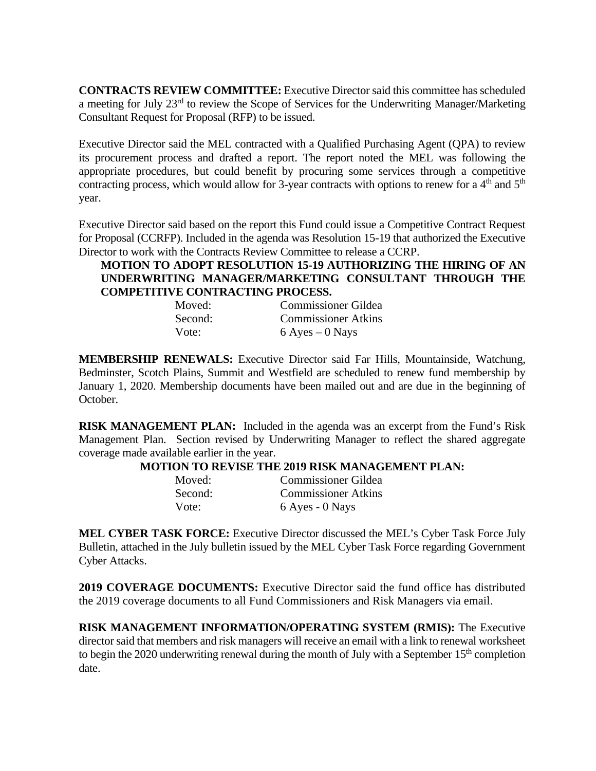**CONTRACTS REVIEW COMMITTEE:** Executive Director said this committee has scheduled a meeting for July 23rd to review the Scope of Services for the Underwriting Manager/Marketing Consultant Request for Proposal (RFP) to be issued.

Executive Director said the MEL contracted with a Qualified Purchasing Agent (QPA) to review its procurement process and drafted a report. The report noted the MEL was following the appropriate procedures, but could benefit by procuring some services through a competitive contracting process, which would allow for 3-year contracts with options to renew for a  $4<sup>th</sup>$  and  $5<sup>th</sup>$ year.

Executive Director said based on the report this Fund could issue a Competitive Contract Request for Proposal (CCRFP). Included in the agenda was Resolution 15-19 that authorized the Executive Director to work with the Contracts Review Committee to release a CCRP.

# **MOTION TO ADOPT RESOLUTION 15-19 AUTHORIZING THE HIRING OF AN UNDERWRITING MANAGER/MARKETING CONSULTANT THROUGH THE COMPETITIVE CONTRACTING PROCESS.**

| Moved:  | <b>Commissioner Gildea</b> |
|---------|----------------------------|
| Second: | <b>Commissioner Atkins</b> |
| Vote:   | $6$ Ayes $-0$ Nays         |

**MEMBERSHIP RENEWALS:** Executive Director said Far Hills, Mountainside, Watchung, Bedminster, Scotch Plains, Summit and Westfield are scheduled to renew fund membership by January 1, 2020. Membership documents have been mailed out and are due in the beginning of October.

**RISK MANAGEMENT PLAN:** Included in the agenda was an excerpt from the Fund's Risk Management Plan. Section revised by Underwriting Manager to reflect the shared aggregate coverage made available earlier in the year.

### **MOTION TO REVISE THE 2019 RISK MANAGEMENT PLAN:**

| Moved:  | <b>Commissioner Gildea</b> |
|---------|----------------------------|
| Second: | <b>Commissioner Atkins</b> |
| Vote:   | 6 Ayes - 0 Nays            |

**MEL CYBER TASK FORCE:** Executive Director discussed the MEL's Cyber Task Force July Bulletin, attached in the July bulletin issued by the MEL Cyber Task Force regarding Government Cyber Attacks.

**2019 COVERAGE DOCUMENTS:** Executive Director said the fund office has distributed the 2019 coverage documents to all Fund Commissioners and Risk Managers via email.

**RISK MANAGEMENT INFORMATION/OPERATING SYSTEM (RMIS):** The Executive director said that members and risk managers will receive an email with a link to renewal worksheet to begin the 2020 underwriting renewal during the month of July with a September  $15<sup>th</sup>$  completion date.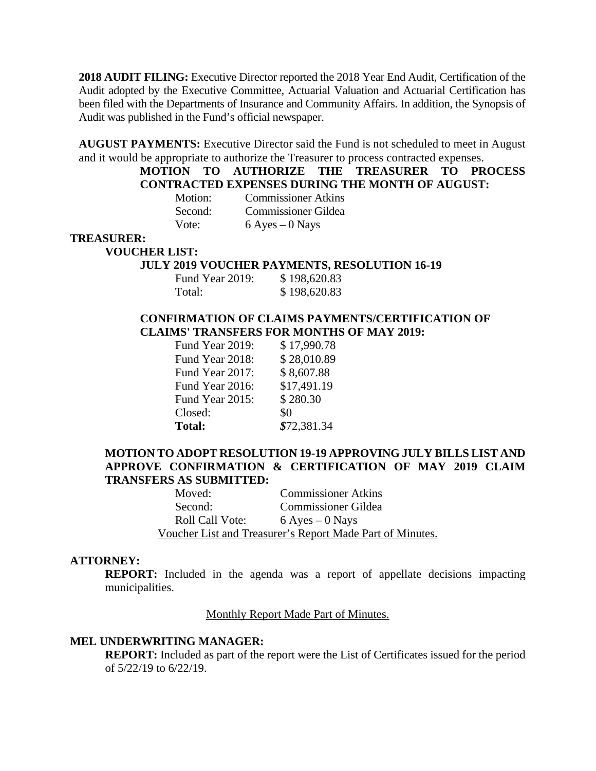**2018 AUDIT FILING:** Executive Director reported the 2018 Year End Audit, Certification of the Audit adopted by the Executive Committee, Actuarial Valuation and Actuarial Certification has been filed with the Departments of Insurance and Community Affairs. In addition, the Synopsis of Audit was published in the Fund's official newspaper.

**AUGUST PAYMENTS:** Executive Director said the Fund is not scheduled to meet in August and it would be appropriate to authorize the Treasurer to process contracted expenses.

# **MOTION TO AUTHORIZE THE TREASURER TO PROCESS CONTRACTED EXPENSES DURING THE MONTH OF AUGUST:**

| Motion: | <b>Commissioner Atkins</b> |
|---------|----------------------------|
| Second: | <b>Commissioner Gildea</b> |
| Vote:   | $6$ Ayes $-0$ Nays         |

#### **TREASURER:**

**VOUCHER LIST:** 

#### **JULY 2019 VOUCHER PAYMENTS, RESOLUTION 16-19**

| Fund Year 2019: | \$198,620.83 |
|-----------------|--------------|
| Total:          | \$198,620.83 |

# **CONFIRMATION OF CLAIMS PAYMENTS/CERTIFICATION OF CLAIMS' TRANSFERS FOR MONTHS OF MAY 2019:**

| Fund Year 2019: | \$17,990.78 |
|-----------------|-------------|
| Fund Year 2018: | \$28,010.89 |
| Fund Year 2017: | \$8,607.88  |
| Fund Year 2016: | \$17,491.19 |
| Fund Year 2015: | \$280.30    |
| Closed:         | \$0         |
| <b>Total:</b>   | \$72,381.34 |

### **MOTION TO ADOPT RESOLUTION 19-19 APPROVING JULY BILLS LIST AND APPROVE CONFIRMATION & CERTIFICATION OF MAY 2019 CLAIM TRANSFERS AS SUBMITTED:**

| Moved:                 | <b>Commissioner Atkins</b>                                |
|------------------------|-----------------------------------------------------------|
| Second:                | <b>Commissioner Gildea</b>                                |
| <b>Roll Call Vote:</b> | $6$ Ayes $-0$ Nays                                        |
|                        | Voucher List and Treasurer's Report Made Part of Minutes. |

### **ATTORNEY:**

**REPORT:** Included in the agenda was a report of appellate decisions impacting municipalities.

### Monthly Report Made Part of Minutes.

#### **MEL UNDERWRITING MANAGER:**

**REPORT:** Included as part of the report were the List of Certificates issued for the period of 5/22/19 to 6/22/19.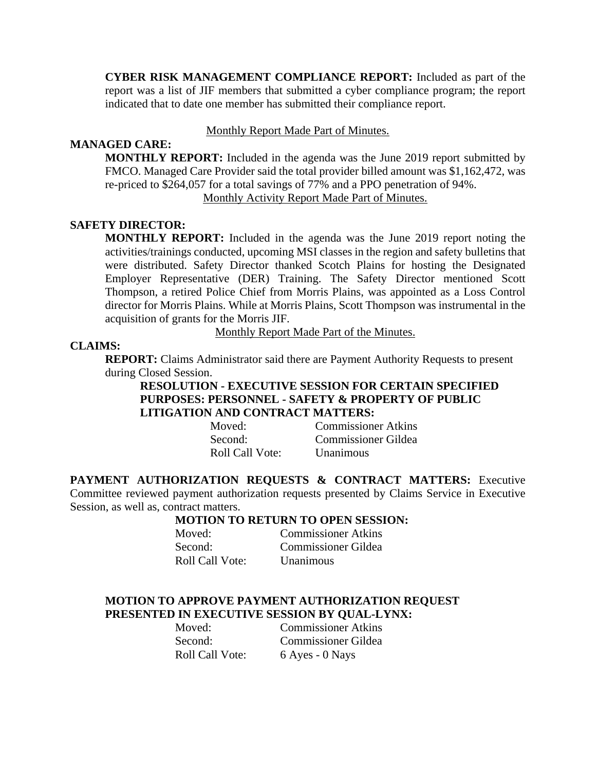**CYBER RISK MANAGEMENT COMPLIANCE REPORT:** Included as part of the report was a list of JIF members that submitted a cyber compliance program; the report indicated that to date one member has submitted their compliance report.

### Monthly Report Made Part of Minutes.

# **MANAGED CARE:**

**MONTHLY REPORT:** Included in the agenda was the June 2019 report submitted by FMCO. Managed Care Provider said the total provider billed amount was \$1,162,472, was re-priced to \$264,057 for a total savings of 77% and a PPO penetration of 94%.

Monthly Activity Report Made Part of Minutes.

# **SAFETY DIRECTOR:**

**MONTHLY REPORT:** Included in the agenda was the June 2019 report noting the activities/trainings conducted, upcoming MSI classes in the region and safety bulletins that were distributed. Safety Director thanked Scotch Plains for hosting the Designated Employer Representative (DER) Training. The Safety Director mentioned Scott Thompson, a retired Police Chief from Morris Plains, was appointed as a Loss Control director for Morris Plains. While at Morris Plains, Scott Thompson was instrumental in the acquisition of grants for the Morris JIF.

Monthly Report Made Part of the Minutes.

# **CLAIMS:**

**REPORT:** Claims Administrator said there are Payment Authority Requests to present during Closed Session.

### **RESOLUTION - EXECUTIVE SESSION FOR CERTAIN SPECIFIED PURPOSES: PERSONNEL - SAFETY & PROPERTY OF PUBLIC LITIGATION AND CONTRACT MATTERS:**

| Moved:          | <b>Commissioner Atkins</b> |
|-----------------|----------------------------|
| Second:         | <b>Commissioner Gildea</b> |
| Roll Call Vote: | <b>Unanimous</b>           |

**PAYMENT AUTHORIZATION REQUESTS & CONTRACT MATTERS:** Executive Committee reviewed payment authorization requests presented by Claims Service in Executive Session, as well as, contract matters.

### **MOTION TO RETURN TO OPEN SESSION:**

| Moved:                 |
|------------------------|
| Second:                |
| <b>Roll Call Vote:</b> |

Commissioner Atkins Commissioner Gildea **Unanimous** 

### **MOTION TO APPROVE PAYMENT AUTHORIZATION REQUEST PRESENTED IN EXECUTIVE SESSION BY QUAL-LYNX:**

Roll Call Vote: 6 Ayes - 0 Nays

Moved: Commissioner Atkins Second: Commissioner Gildea